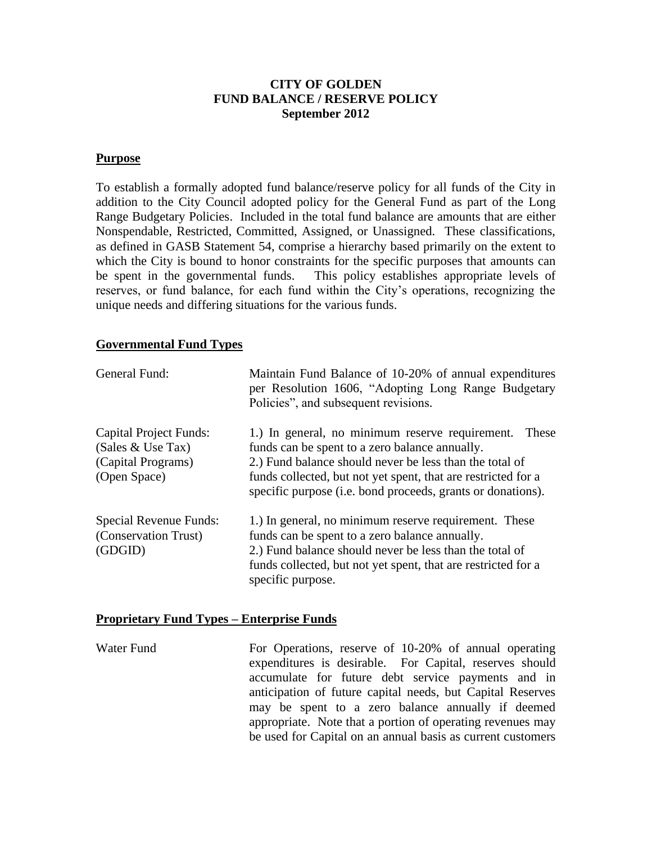## **CITY OF GOLDEN FUND BALANCE / RESERVE POLICY September 2012**

#### **Purpose**

To establish a formally adopted fund balance/reserve policy for all funds of the City in addition to the City Council adopted policy for the General Fund as part of the Long Range Budgetary Policies. Included in the total fund balance are amounts that are either Nonspendable, Restricted, Committed, Assigned, or Unassigned. These classifications, as defined in GASB Statement 54, comprise a hierarchy based primarily on the extent to which the City is bound to honor constraints for the specific purposes that amounts can be spent in the governmental funds. This policy establishes appropriate levels of reserves, or fund balance, for each fund within the City's operations, recognizing the unique needs and differing situations for the various funds.

#### **Governmental Fund Types**

| General Fund:                                                                              | Maintain Fund Balance of 10-20% of annual expenditures<br>per Resolution 1606, "Adopting Long Range Budgetary<br>Policies", and subsequent revisions.                                                                                                                                                 |
|--------------------------------------------------------------------------------------------|-------------------------------------------------------------------------------------------------------------------------------------------------------------------------------------------------------------------------------------------------------------------------------------------------------|
| <b>Capital Project Funds:</b><br>(Sales $&$ Use Tax)<br>(Capital Programs)<br>(Open Space) | 1.) In general, no minimum reserve requirement.<br>These<br>funds can be spent to a zero balance annually.<br>2.) Fund balance should never be less than the total of<br>funds collected, but not yet spent, that are restricted for a<br>specific purpose (i.e. bond proceeds, grants or donations). |
| <b>Special Revenue Funds:</b><br>(Conservation Trust)<br>(GDGID)                           | 1.) In general, no minimum reserve requirement. These<br>funds can be spent to a zero balance annually.<br>2.) Fund balance should never be less than the total of<br>funds collected, but not yet spent, that are restricted for a<br>specific purpose.                                              |

### **Proprietary Fund Types – Enterprise Funds**

Water Fund For Operations, reserve of 10-20% of annual operating expenditures is desirable. For Capital, reserves should accumulate for future debt service payments and in anticipation of future capital needs, but Capital Reserves may be spent to a zero balance annually if deemed appropriate. Note that a portion of operating revenues may be used for Capital on an annual basis as current customers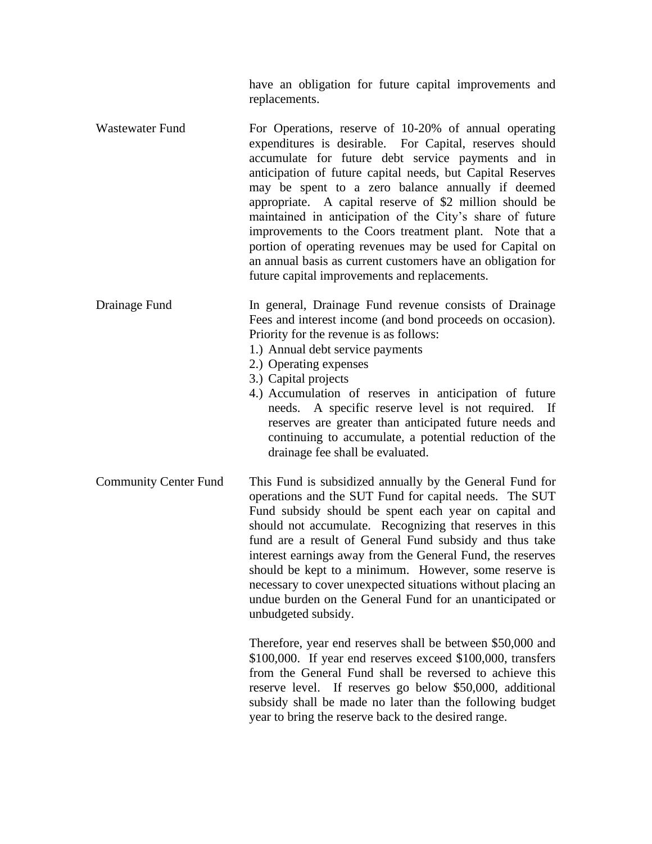have an obligation for future capital improvements and replacements.

- Wastewater Fund For Operations, reserve of 10-20% of annual operating expenditures is desirable. For Capital, reserves should accumulate for future debt service payments and in anticipation of future capital needs, but Capital Reserves may be spent to a zero balance annually if deemed appropriate. A capital reserve of \$2 million should be maintained in anticipation of the City's share of future improvements to the Coors treatment plant. Note that a portion of operating revenues may be used for Capital on an annual basis as current customers have an obligation for future capital improvements and replacements.
- Drainage Fund In general, Drainage Fund revenue consists of Drainage Fees and interest income (and bond proceeds on occasion). Priority for the revenue is as follows:
	- 1.) Annual debt service payments
	- 2.) Operating expenses
	- 3.) Capital projects
	- 4.) Accumulation of reserves in anticipation of future needs. A specific reserve level is not required. If reserves are greater than anticipated future needs and continuing to accumulate, a potential reduction of the drainage fee shall be evaluated.
- Community Center Fund This Fund is subsidized annually by the General Fund for operations and the SUT Fund for capital needs. The SUT Fund subsidy should be spent each year on capital and should not accumulate. Recognizing that reserves in this fund are a result of General Fund subsidy and thus take interest earnings away from the General Fund, the reserves should be kept to a minimum. However, some reserve is necessary to cover unexpected situations without placing an undue burden on the General Fund for an unanticipated or unbudgeted subsidy.

Therefore, year end reserves shall be between \$50,000 and \$100,000. If year end reserves exceed \$100,000, transfers from the General Fund shall be reversed to achieve this reserve level. If reserves go below \$50,000, additional subsidy shall be made no later than the following budget year to bring the reserve back to the desired range.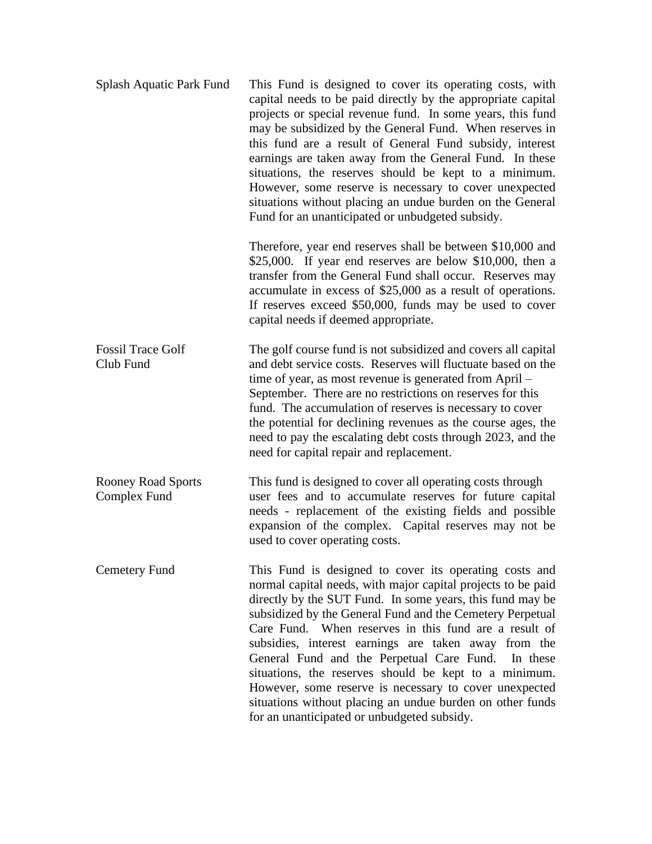| Splash Aquatic Park Fund                  | This Fund is designed to cover its operating costs, with<br>capital needs to be paid directly by the appropriate capital<br>projects or special revenue fund. In some years, this fund<br>may be subsidized by the General Fund. When reserves in<br>this fund are a result of General Fund subsidy, interest<br>earnings are taken away from the General Fund. In these<br>situations, the reserves should be kept to a minimum.<br>However, some reserve is necessary to cover unexpected<br>situations without placing an undue burden on the General<br>Fund for an unanticipated or unbudgeted subsidy.                                           |
|-------------------------------------------|--------------------------------------------------------------------------------------------------------------------------------------------------------------------------------------------------------------------------------------------------------------------------------------------------------------------------------------------------------------------------------------------------------------------------------------------------------------------------------------------------------------------------------------------------------------------------------------------------------------------------------------------------------|
|                                           | Therefore, year end reserves shall be between \$10,000 and<br>$$25,000$ . If year end reserves are below $$10,000$ , then a<br>transfer from the General Fund shall occur. Reserves may<br>accumulate in excess of \$25,000 as a result of operations.<br>If reserves exceed \$50,000, funds may be used to cover<br>capital needs if deemed appropriate.                                                                                                                                                                                                                                                                                              |
| <b>Fossil Trace Golf</b><br>Club Fund     | The golf course fund is not subsidized and covers all capital<br>and debt service costs. Reserves will fluctuate based on the<br>time of year, as most revenue is generated from April –<br>September. There are no restrictions on reserves for this<br>fund. The accumulation of reserves is necessary to cover<br>the potential for declining revenues as the course ages, the<br>need to pay the escalating debt costs through 2023, and the<br>need for capital repair and replacement.                                                                                                                                                           |
| <b>Rooney Road Sports</b><br>Complex Fund | This fund is designed to cover all operating costs through<br>user fees and to accumulate reserves for future capital<br>needs - replacement of the existing fields and possible<br>expansion of the complex. Capital reserves may not be<br>used to cover operating costs.                                                                                                                                                                                                                                                                                                                                                                            |
| Cemetery Fund                             | This Fund is designed to cover its operating costs and<br>normal capital needs, with major capital projects to be paid<br>directly by the SUT Fund. In some years, this fund may be<br>subsidized by the General Fund and the Cemetery Perpetual<br>Care Fund. When reserves in this fund are a result of<br>subsidies, interest earnings are taken away from the<br>General Fund and the Perpetual Care Fund. In these<br>situations, the reserves should be kept to a minimum.<br>However, some reserve is necessary to cover unexpected<br>situations without placing an undue burden on other funds<br>for an unanticipated or unbudgeted subsidy. |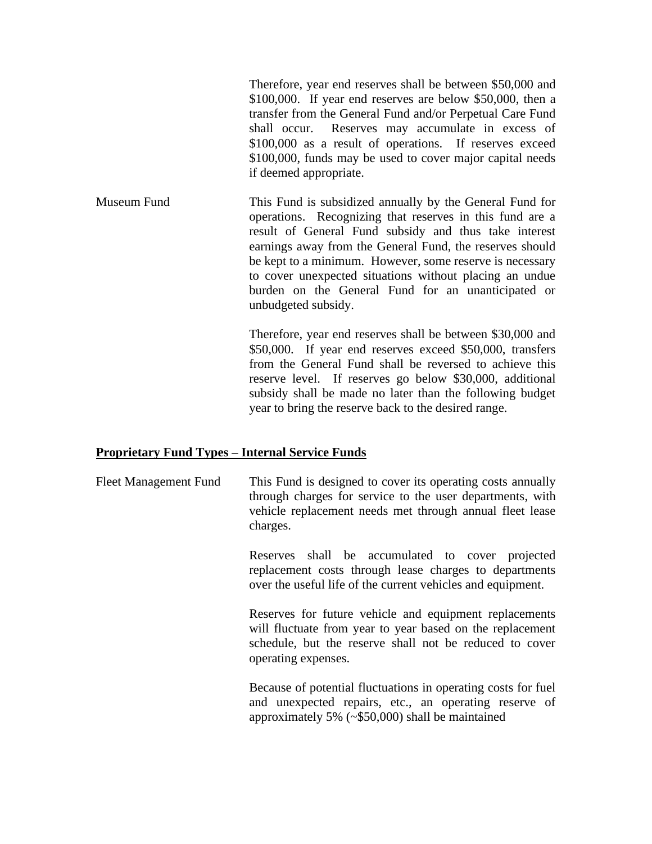Therefore, year end reserves shall be between \$50,000 and \$100,000. If year end reserves are below \$50,000, then a transfer from the General Fund and/or Perpetual Care Fund shall occur. Reserves may accumulate in excess of \$100,000 as a result of operations. If reserves exceed \$100,000, funds may be used to cover major capital needs if deemed appropriate.

Museum Fund This Fund is subsidized annually by the General Fund for operations. Recognizing that reserves in this fund are a result of General Fund subsidy and thus take interest earnings away from the General Fund, the reserves should be kept to a minimum. However, some reserve is necessary to cover unexpected situations without placing an undue burden on the General Fund for an unanticipated or unbudgeted subsidy.

> Therefore, year end reserves shall be between \$30,000 and \$50,000. If year end reserves exceed \$50,000, transfers from the General Fund shall be reversed to achieve this reserve level. If reserves go below \$30,000, additional subsidy shall be made no later than the following budget year to bring the reserve back to the desired range.

### **Proprietary Fund Types – Internal Service Funds**

Fleet Management Fund This Fund is designed to cover its operating costs annually through charges for service to the user departments, with vehicle replacement needs met through annual fleet lease charges.

> Reserves shall be accumulated to cover projected replacement costs through lease charges to departments over the useful life of the current vehicles and equipment.

> Reserves for future vehicle and equipment replacements will fluctuate from year to year based on the replacement schedule, but the reserve shall not be reduced to cover operating expenses.

> Because of potential fluctuations in operating costs for fuel and unexpected repairs, etc., an operating reserve of approximately 5% (~\$50,000) shall be maintained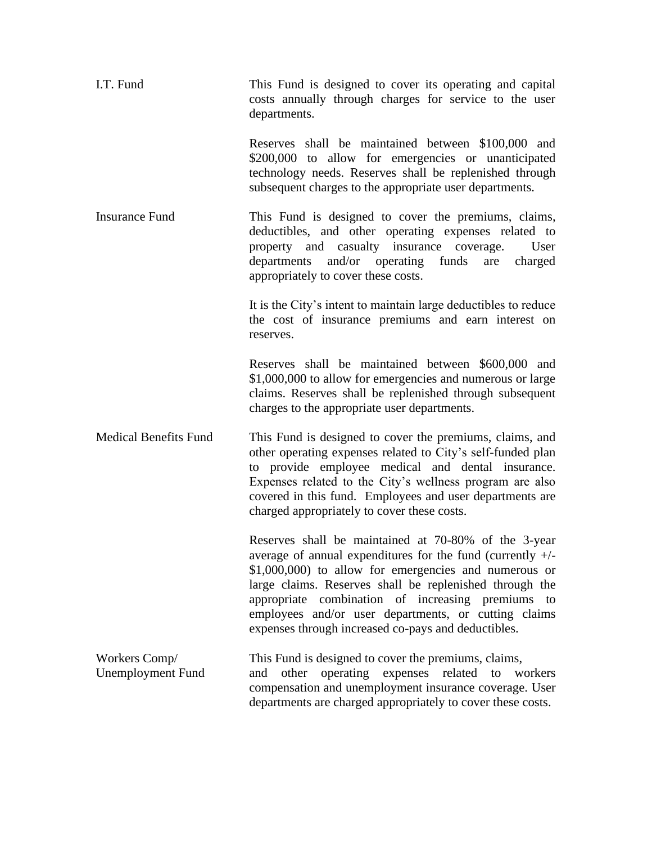| I.T. Fund                                 | This Fund is designed to cover its operating and capital<br>costs annually through charges for service to the user<br>departments.                                                                                                                                                                                                                                                                           |
|-------------------------------------------|--------------------------------------------------------------------------------------------------------------------------------------------------------------------------------------------------------------------------------------------------------------------------------------------------------------------------------------------------------------------------------------------------------------|
|                                           | Reserves shall be maintained between \$100,000 and<br>\$200,000 to allow for emergencies or unanticipated<br>technology needs. Reserves shall be replenished through<br>subsequent charges to the appropriate user departments.                                                                                                                                                                              |
| <b>Insurance Fund</b>                     | This Fund is designed to cover the premiums, claims,<br>deductibles, and other operating expenses related to<br>property and casualty insurance coverage.<br>User<br>and/or operating<br>funds<br>departments<br>charged<br>are<br>appropriately to cover these costs.                                                                                                                                       |
|                                           | It is the City's intent to maintain large deductibles to reduce<br>the cost of insurance premiums and earn interest on<br>reserves.                                                                                                                                                                                                                                                                          |
|                                           | Reserves shall be maintained between \$600,000 and<br>\$1,000,000 to allow for emergencies and numerous or large<br>claims. Reserves shall be replenished through subsequent<br>charges to the appropriate user departments.                                                                                                                                                                                 |
| <b>Medical Benefits Fund</b>              | This Fund is designed to cover the premiums, claims, and<br>other operating expenses related to City's self-funded plan<br>to provide employee medical and dental insurance.<br>Expenses related to the City's wellness program are also<br>covered in this fund. Employees and user departments are<br>charged appropriately to cover these costs.                                                          |
|                                           | Reserves shall be maintained at 70-80% of the 3-year<br>average of annual expenditures for the fund (currently $+/-$<br>\$1,000,000) to allow for emergencies and numerous or<br>large claims. Reserves shall be replenished through the<br>appropriate combination of increasing premiums to<br>employees and/or user departments, or cutting claims<br>expenses through increased co-pays and deductibles. |
| Workers Comp/<br><b>Unemployment Fund</b> | This Fund is designed to cover the premiums, claims,<br>operating expenses related to<br>other<br>workers<br>and<br>compensation and unemployment insurance coverage. User<br>departments are charged appropriately to cover these costs.                                                                                                                                                                    |